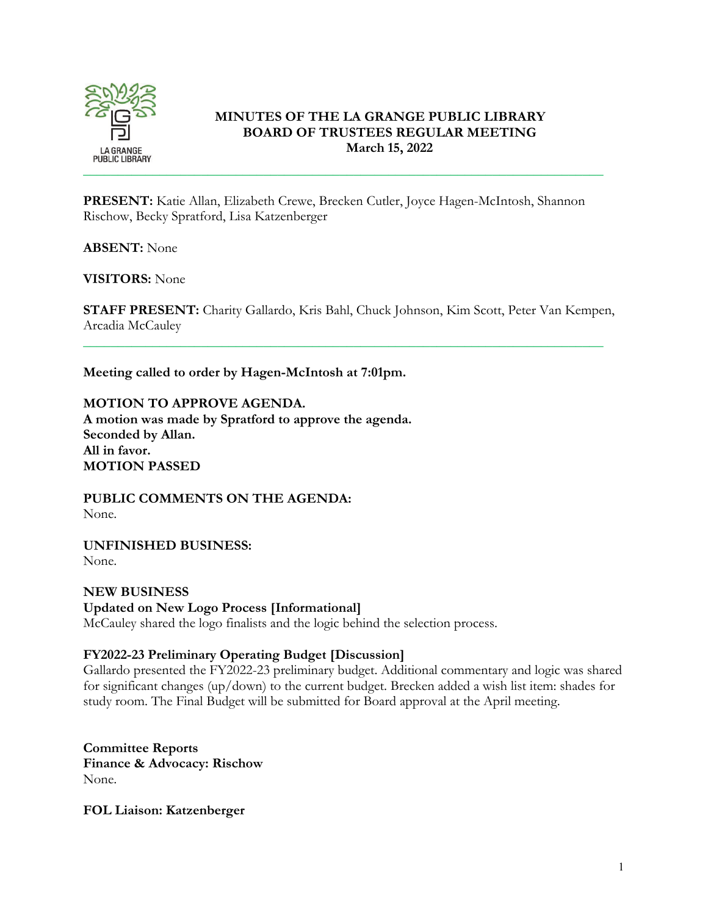

## **MINUTES OF THE LA GRANGE PUBLIC LIBRARY BOARD OF TRUSTEES REGULAR MEETING March 15, 2022**

**PRESENT:** Katie Allan, Elizabeth Crewe, Brecken Cutler, Joyce Hagen-McIntosh, Shannon Rischow, Becky Spratford, Lisa Katzenberger

**ABSENT:** None

**VISITORS:** None

**STAFF PRESENT:** Charity Gallardo, Kris Bahl, Chuck Johnson, Kim Scott, Peter Van Kempen, Arcadia McCauley

\_\_\_\_\_\_\_\_\_\_\_\_\_\_\_\_\_\_\_\_\_\_\_\_\_\_\_\_\_\_\_\_\_\_\_\_\_\_\_\_\_\_\_\_\_\_\_\_\_\_\_\_\_\_\_\_\_\_\_\_\_\_\_\_\_\_\_\_\_\_\_\_\_\_\_

**Meeting called to order by Hagen-McIntosh at 7:01pm.**

**MOTION TO APPROVE AGENDA. A motion was made by Spratford to approve the agenda. Seconded by Allan. All in favor. MOTION PASSED**

**PUBLIC COMMENTS ON THE AGENDA:**  None.

**UNFINISHED BUSINESS:** None.

**NEW BUSINESS Updated on New Logo Process [Informational]**  McCauley shared the logo finalists and the logic behind the selection process.

# **FY2022-23 Preliminary Operating Budget [Discussion]**

Gallardo presented the FY2022-23 preliminary budget. Additional commentary and logic was shared for significant changes (up/down) to the current budget. Brecken added a wish list item: shades for study room. The Final Budget will be submitted for Board approval at the April meeting.

**Committee Reports Finance & Advocacy: Rischow** None.

**FOL Liaison: Katzenberger**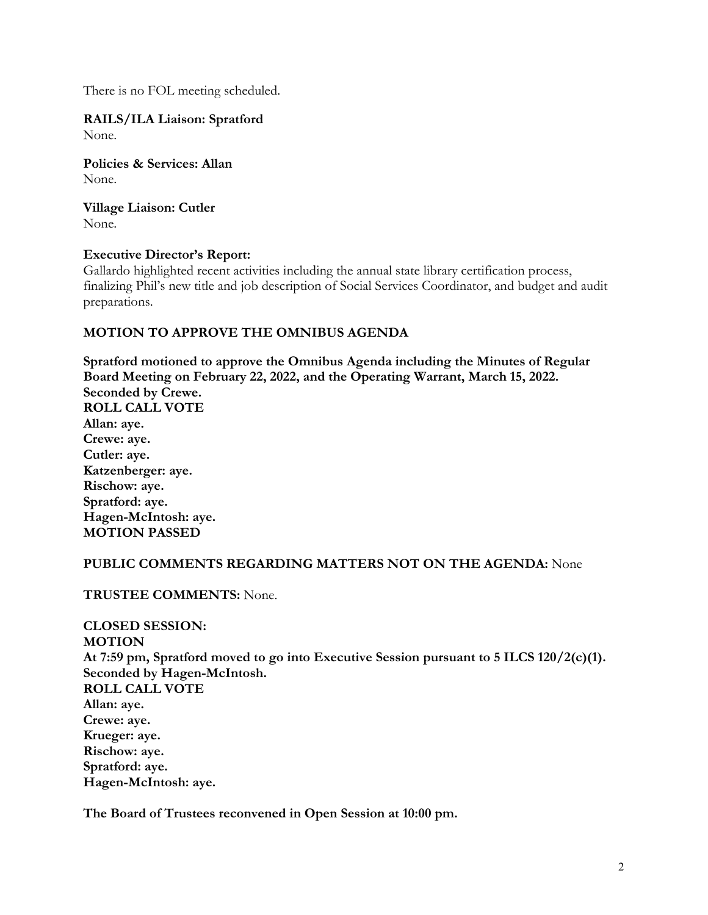There is no FOL meeting scheduled.

**RAILS/ILA Liaison: Spratford** None.

**Policies & Services: Allan** None.

**Village Liaison: Cutler** None.

### **Executive Director's Report:**

Gallardo highlighted recent activities including the annual state library certification process, finalizing Phil's new title and job description of Social Services Coordinator, and budget and audit preparations.

### **MOTION TO APPROVE THE OMNIBUS AGENDA**

**Spratford motioned to approve the Omnibus Agenda including the Minutes of Regular Board Meeting on February 22, 2022, and the Operating Warrant, March 15, 2022. Seconded by Crewe. ROLL CALL VOTE Allan: aye. Crewe: aye. Cutler: aye. Katzenberger: aye. Rischow: aye. Spratford: aye. Hagen-McIntosh: aye. MOTION PASSED**

#### **PUBLIC COMMENTS REGARDING MATTERS NOT ON THE AGENDA:** None

**TRUSTEE COMMENTS:** None.

**CLOSED SESSION: MOTION At 7:59 pm, Spratford moved to go into Executive Session pursuant to 5 ILCS 120/2(c)(1). Seconded by Hagen-McIntosh. ROLL CALL VOTE Allan: aye. Crewe: aye. Krueger: aye. Rischow: aye. Spratford: aye. Hagen-McIntosh: aye.**

**The Board of Trustees reconvened in Open Session at 10:00 pm.**